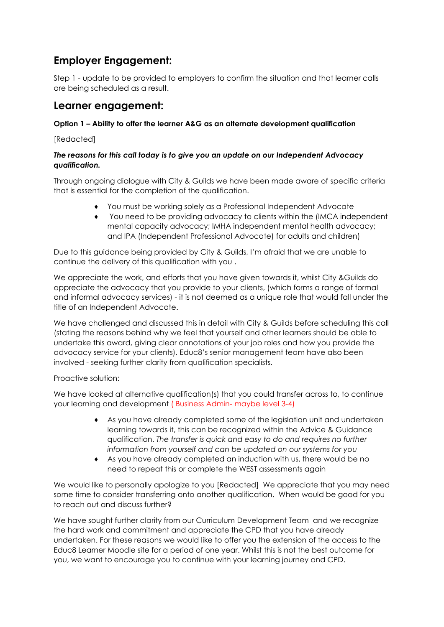## **Employer Engagement:**

Step 1 - update to be provided to employers to confirm the situation and that learner calls are being scheduled as a result.

## **Learner engagement:**

## **Option 1 – Ability to offer the learner A&G as an alternate development qualification**

[Redacted]

## *The reasons for this call today is to give you an update on our Independent Advocacy qualification.*

Through ongoing dialogue with City & Guilds we have been made aware of specific criteria that is essential for the completion of the qualification.

- ♦ You must be working solely as a Professional Independent Advocate
- You need to be providing advocacy to clients within the (IMCA independent mental capacity advocacy; IMHA independent mental health advocacy; and IPA (Independent Professional Advocate) for adults and children)

Due to this guidance being provided by City & Guilds, I'm afraid that we are unable to continue the delivery of this qualification with you .

We appreciate the work, and efforts that you have given towards it, whilst City &Guilds do appreciate the advocacy that you provide to your clients, (which forms a range of formal and informal advocacy services) - it is not deemed as a unique role that would fall under the title of an Independent Advocate.

We have challenged and discussed this in detail with City & Guilds before scheduling this call (stating the reasons behind why we feel that yourself and other learners should be able to undertake this award, giving clear annotations of your job roles and how you provide the advocacy service for your clients). Educ8's senior management team have also been involved - seeking further clarity from qualification specialists.

Proactive solution:

We have looked at alternative qualification(s) that you could transfer across to, to continue your learning and development ( Business Admin- maybe level 3-4)

- ♦ As you have already completed some of the legislation unit and undertaken learning towards it, this can be recognized within the Advice & Guidance qualification. *The transfer is quick and easy to do and requires no further information from yourself and can be updated on our systems for you*
- ♦ As you have already completed an induction with us, there would be no need to repeat this or complete the WEST assessments again

We would like to personally apologize to you [Redacted] We appreciate that you may need some time to consider transferring onto another qualification. When would be good for you to reach out and discuss further?

We have sought further clarity from our Curriculum Development Team and we recognize the hard work and commitment and appreciate the CPD that you have already undertaken. For these reasons we would like to offer you the extension of the access to the Educ8 Learner Moodle site for a period of one year. Whilst this is not the best outcome for you, we want to encourage you to continue with your learning journey and CPD.